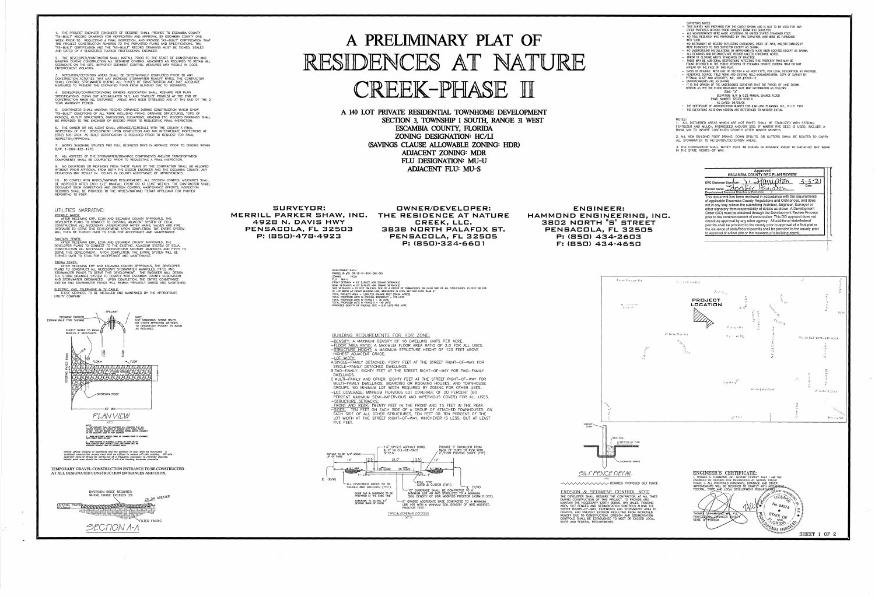THE PROJECT ENGINEER (ENGINEER OF RECORD) SHALL PROVIDE TO ESCAMBIA COUNTY "AS-BUILT" RECORD DRAWINGS FOR VERIFICATION AND APPROVAL BY ESCAMBIA COUNTY ONE WEEK PRIOR TO REQUESTING A FINAL INSPECTION, AND PROVIDE "AS-BUILT" CERTIFICATION THAT THE PROJECT CONSTRUCTION ADHERES TO THE PERMITTED PLANS AND SPECIFICATIONS. THE "AS-BUILT" CERTIFICATION AND THE "AS-BUILT" RECORD DRAWINGS MUST BE SIGNED, SEALED AND DATED BY A REGISTERED FLORIDA PROFESSIONAL ENGINEER.

4. DEVELOPER/CONTRACTOR/HOME OWNERS ASSOCIATION SHALL RESHAPE PER PLAN SPECIFICATIONS, CLEAN OUT ACCUMULATED SILT, AND STABILIZE POND(S) AT THE END OF CONSTRUCTION WHEN ALL DISTURBED AREAS HAVE BEEN STABILIZED AND AT THE END OF THE 2 YEAR WARRANTY PERIOD.

2. THE DEVELOPER/CONTRACTOR SHALL INSTALL PRIOR TO THE START OF CONSTRUCTION AND MAINTAIN DURING CONSTRUCTION ALL SEDIMENT CONTROL MEASURES AS REQUIRED TO RETAIN ALL SEDIMENTS ON THE SITE. IMPROPER SEDIMENT CONTROL MEASURES MAY RESULT IN CODE ENFORCEMENT VIOLATION.

5. CONTRACTOR SHALL MAINTAIN RECORD DRAWINGS DURING CONSTRUCTION WHICH SHOW "AS-BUILT" CONDITIONS OF ALL WORK INCLUDING PIPING, DRAINAGE STRUCTURES, TOPO OF POND(S), OUTLET STRUCTURES, DIMENSIONS, ELEVATIONS, GRADING ETC. RECORD DRAWINGS SHALL BE PROVIDED TO THE ENGINEER OF RECORD PRIOR TO REQUESTING FINAL INSPECTION.

3. RETENTION/DETENTION AREAS SHALL BE SUBSTANTIALLY COMPLETED PRIOR TO ANY CONSTRUCTION ACTIVITIES THAT MAY INCREASE STORMWATER RUNOFF RATES. THE CONTRACTOR SHALL CONTROL STROMWATER DURING ALL PHASES OF CONSTRUCTION AND TAKE ADEQUATE MEASURES TO PREVENT THE EXCAVATED POND FROM BLINDING DUE TO SEDIMENTS.

6. THE OWNER OR HIS AGENT SHALL ARRANGE/SCHEDULE WITH THE COUNTY A FINAL INSPECTION OF THE DEVELOPMENT UPON COMPLETION AND ANY INTERMEDIATE INSPECTIONS AT (850) 595-3434. AS-BUILT CERTIFICATION IS REQUIRED PRIOR TO REQUEST FOR FINAL INSPECTION/APPROVAL.

9. NO DEVIATIONS OR REVISIONS FROM THESE PLANS BY THE CONTRACTOR SHALL BE ALLOWED WITHOUT PRIOR APPROVAL FROM BOTH THE DESIGN ENGINEER AND THE ESCAMBIA COUNTY. ANY DEVIATIONS MAY RESULT IN DELAYS IN COUNTY ACCEPTANCE OF IMPROVEMENTS.

POTABLE WATER: AFTER RECEIVING ERP, ECUA AND ESCAMBIA COUNTY APPROVALS, THE DEVELOPER PLANS TO CONNECT TO EXISTING, ADJACENT SYSTEM OF ECUA, CONSTRUCTING ALL NECESSARY UNDERGROUND WATER MAINS. VALVES AND FIRE HYDRANTS TO SERVE THIS DEVELOPMENT, UPON COMPLETION, THE ENTIRE SYSTEM WILL THEN BE TURNED OVER TO ECUA FOR ACCEPTANCE AND MAINTENANCE.

<u>SANITARY SEWER:</u> AFTER RECEIVING ERP, ECUA AND ESCAMBIA COUNTY APPROVALS, THE DEVELOPER PLANS TO CONNECT TO THE EXISTING, ADJACENT SYSTEM OF ECUA, CONSTRUCTION ALL NECESSARY UNDERGROUND SANITARY MANHOLES AND PIPES TO SERVE THIS DEVELOPMENT. UPON COMPLETION, THE ENTIRE SYSTEM WILL BE TURNED OVER TO ECUA FOR ACCEPTANCE AND MAINTENANCE.

<u>STORM SEWER:</u> AFTER RECEIVING ERP AND ESCAMBIA COUNTY APPROVALS, THE DEVELOPER PLANS TO CONSTRUCT ALL NECESSARY STORMWATER MANHOLES, PIPES AND STORMWATER PONDS TO SERVE THIS DEVELOPMENT. THE ENGINEER WILL DESIGN THE STORM DRAINAGE SYSTEM TO COMPLY WITH ESCAMBIA COUNTY SUBDIVISION AND STORMWATER ORDINANCES. UPON COMPLETION, THE ENTIRE CONVEYANCE SYSTEM AND STORMWATER PONDS WILL REMAIN PRIVATELY OWNED AND MAINTAINED.

ELECTRIC, GAS, TELEPHONE & TV CABLE: THESE SERVICES TO BE INSTALLED AND MAINTAINED BY THE APPROPRIATE UTILITY COMPANY.

7. NOTIFY SUNSHINE UTILITIES TWO FULL BUSINESS DAYS IN ADVANCE PRIOR TO DIGGING WITHIN R/W; 1-800-432-4770.

8. ALL ASPECTS OF THE STORMWATER/DRAINAGE COMPONENTS AND/OR TRANSPORTATION COMPONENTS SHALL BE COMPLETED PRIOR TO REQUESTING A FINAL INSPECTION.

10. TO COMPLY WITH NPDES/NWFWMD REQUIREMENTS, ALL EROSION CONTROL MEASURES SHALL BE INSPECTED AFTER EACH 1/2" RAINFALL EVENT OR AT LEAST WEEKLY. THE CONTRACTOR SHALL DOCUMENT SUCH INSPECTIONS AND EROSION CONTROL MAINTENANCE EFFORTS; INSPECTION RECORDS SHALL BE PROVIDED TO THE NPDES/NWFWMD PERMIT APPLICANT FOR PROPER REPORTING TO FDEP.

SURVEYORS NOTES: THIS SURVEY WAS PREPARED FOR THE CLIENT SHOWN AND IS NOT TO BE USED FOR ANY OTHER PURPOSES WITHOUT PRIOR CONSENT FROM THIS SURVEYOR. - ALL MEASUREMENTS WERE MADE ACCORDING TO UNITED STATES STANDARD FOOT.

# UTILITIES NARRATIVE:

# **A PRELIMINARY PLAT OF**  RESIDENCES AT NATURE CREEK-PHASE II

**SURVEYOR: OWNER/DEVELOPER: MERRILL PARKER SHAW, INC. THE RESIDENCE AT NATURE**  4928 N. DAVIS HWY<br>PENSACOLA, FL 32503

> DEVELOPMENT DATA: PARCEL ID #'S: 03-1S-31-3101-001-001



 $\sim 100$  km s  $^{-1}$ 

 $\mathcal{L}(\mathcal{L})$  and  $\mathcal{L}(\mathcal{L})$  . The  $\mathcal{L}(\mathcal{L})$ 

 $\mathcal{L}^{\text{max}}_{\text{max}}$  and  $\mathcal{L}^{\text{max}}_{\text{max}}$ 

•

**A 140 LOT PRIVATE RESIDENTIAL TOWNHOME DEVELOPMENT SECTION 3, TOWNSHIP 1 SOUTH, RANGE 31 WEST ESCAMBIA COUNTY, FLORIDA ZONING DESIGNATION: HC/LI (SAVINGS CLAUSE ALLOWABLE ZONING: HDR) ADJACENT ZONING: MDR FLU DESIGNATION: MU-U ADJACENT FLU: MU-S** 

**PENSACOLA, F"L 32503 3B3B NORTH PALAFOX ST. P:** (BS )-47B-4923 **PENSACOLA, F"L 32505 P:** (BS )-324-660 **1** 

> ZONING: HC/ll FLU: MU-U FRONT SETBACK = 20' (UTILIZE HOR ZONING SETBACKS) REAR SETBACKS = 20' (UTILIZE HOR ZONING SETBACKS) SIDE SETBACKS = 10 FEET ON EACH SIDE OF A GROUP OF TOWNHOUSES. ON EACH SIDE OF ALL STRUCTURES, 10 FEET OR 10% Of LOT WIDTH AT FRONT BUILDING LINE, WHICHEVER IS LESS, BUT NOT LESS THAN 5'.' TOTAL PROJECT AREA = 1,565,720 SQUARE FEET (35.94 ACRES) TOTAL PROPOSED LOTS IN OVERALL BOUNDARY = 216 LOTS OTAL PROPOSED LOTS IN PHASE  $1 = 76$  lots TOTAL PROPOSED LOTS IN PHASE II = 140 LOTS PROPOSED DENSITY Of OVERALL SITE = 6.01 LOTS PER ACRE

BUILDING REQUIREMENTS FOR HOR ZONE:

- -DENSITY: A MAXIMUM DENSITY OF 18 DWELLING UNITS PER ACRE. -FLOOR AREA RATIO: A MAXIMUM FLOOR AREA RATIO OF 2.0 FOR ALL USES. -STRUCTURE HEIGHT: A MAXIMUM STRUCTURE HEIGHT OF 120 FEET ABOVE HIGHEST ADJACENT GRADE. -LOT WIDTH:
- A.SINGLE-FAMILY DETACHED. FORTY FEET AT THE STREET RIGHT-OF-WAY FOR SINGLE-FAMILY DETACHED DWELLINGS. B.TWO-FAMILY. EIGHTY FEET AT THE STREET RIGHT-OF-WAY FOR TWO-FAMILY
- DWELLINGS. C.MULTI-FAMILY AND OTHER. EIGHTY FEET AT THE STREET RIGHT-OF-WAY FOR
- MULTI-FAMILY DWELLINGS, BOARDING OR ROOMING HOUSES, AND TOWNHOUSE GROUPS. NO MINIMUM LOT WIDTH REQUIRED BY ZONING FOR OTHER USES. -LOT COVERAGE: MINIMUM PERVIOUS LOT COVERAGE OF 20 PERCENT (80 PERCENT MAXIMUM SEMI-IMPERVIOUS AND IMPERVIOUS COVER) FOR ALL USES.
- -STRUCTURE SETBACKS: FRONT AND REAR: TWENTY FEET **IN** THE FRONT AND 15 FEET **IN** THE REAR.
- -SIDES: TEN FEET ON EACH SIDE OF A GROUP OF ATTACHED TOWNHOUSES. ON EACH SIDE OF ALL OTHER STRUCTURES, TEN FEET OR TEN PERCENT OF THE LOT WIDTH AT THE STREET RIGHT-OF-WAY, WHICHEVER IS LESS, BUT AT LEAST FIVE FEET.



**HAMMOND ENGINEERING, INC. <sup>11</sup>S <sup>11</sup> 3B02 NORTH STREET PENSACOLA, FL 32505 P: {BSD) 434-2603 F": {BSD) 434-4650 ENGINEER:** 



NOTES: **1.** ALL DISTURBED AREAS WHICH ARE NOT PAVED **SHALL** BE STABILIZED WITH SEEDING, FERTILIZER AND MULCH, HYDROSEED AND/OR SOD. IF WINTER RYE SEED IS USED, INCLUDE A BAHIA MIX TO INSURE CONTINUED GROWTH AFTER WINTER MONTHS.

2. ALL NEW BUILDING ROOF DRAINS, DOWN SPOUTS, OR GUTTERS SHALL BE ROUTED TO CARRY ALL STORMWATER TO RETENTION/DETENTION AREAS.

3. THE CONTRACTOR SHALL NOTIFY FOOT 48 HOURS IN ADVANCE PRIOR TO INITIATING ANY WORK IN THE STATE RIGHTS-OF WAY.

•

- NO TITLE RESEARCH WAS PERFORMED BY THIS SURVEYOR, NOR WERE WE FURNISHED **WITH SUCH.**
- NO INSTRUMENT OF RECORD REFLECTING EASEMENTS, RIGHT-OF-WAY, AND/OR OWNERSHIP WERE FURNISHED TO THIS SURVEYOR EXCEPT AS SHOWN.
- NO UNDERGROUND INSTALLATIONS OR IMPROVEMENTS HAVE BEEN LOCATED EXCEPT AS SHOWN. - ALL BEARINGS AND DISTANCES ARE RECORD UNLESS OTHERWISE NOTED.
- ERROR OF CLOSURE MEETS STANDARDS OF PRACTICE.
- THERE MAY BE AOOITIONAL RESTRICTIONS AFFECTING THIS PROPERTY THAT **MAY** BE FOUND RECORDED IN THE PUBLIC RECORDS DF ESCAMBIA COUNTY, FLORIDA THAT DO NOT
- APPEAR ON THE FACE OF THIS PLAT. - BASIS OF BEARING: WEST LINE OF SECTION 4 AS NO015'17"E, PER LEGAL DESCRIPTION AS PROVIDED. - REFERENCE SOURCE: FIELO WORK AND EXISTING FIELD MONUMENTATION; COPY OF SURVEY BY
- PITTMAN, GLAZE AND ASSOCITES, INC., JOB #35106-12.
- ENCROACHMENTS ARE AS SHOWN. - IT IS THE OPINION OF THE UNDERSIGNED SURVEYOR THAT THE PARCEL OF LAND SHOWN HEREON AS PER THE FLOOD INSURANCE RATE MAP INFORMATION AS FOLLOWS: ZONE: **"X"** 
	- ELEVATION: **N/A** & 0.2% ANNUAL CHANCE FLOOD PANEL NUMBER: 12033C 0290 G
	- AS DATED: 09/29/06
- THE CERTIFICATE OF AUTHORIZATION NUMBER FOR KJM LAND PLANNING, LLC.. IS L.B. 7919. - THE ELEVATIONS AS SHOWN HEREON ARE REFERENCED TO NAVD'88 DATUM.